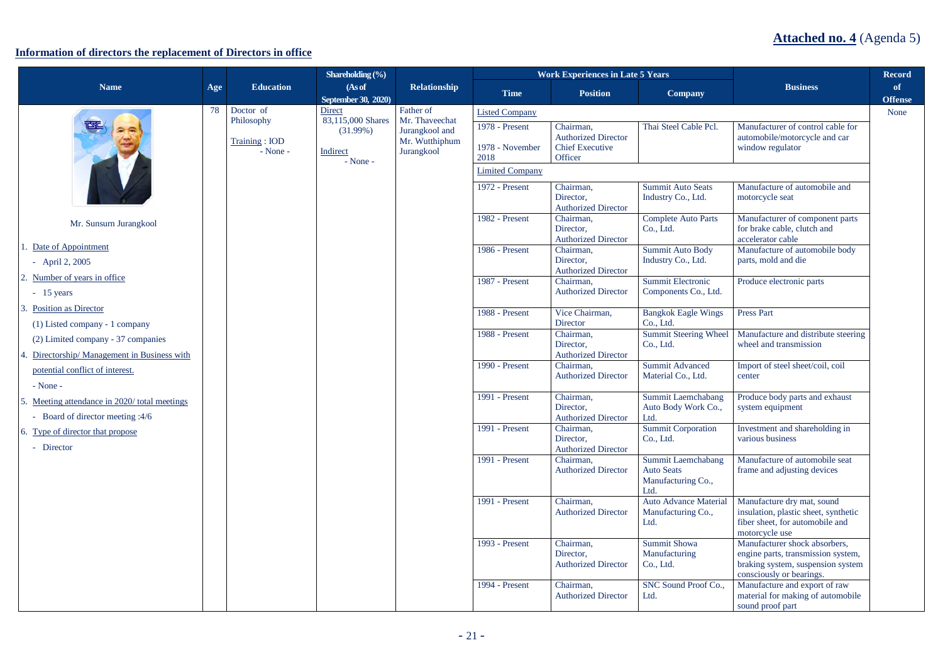## **Information of directors the replacement of Directors in office**

|                                                                                    |     |                                             | Shareholding $(\frac{6}{6})$                              |                                                                  |                                           | <b>Work Experiences in Late 5 Years</b>                                      |                                                                       |                                                                                                                                      | <b>Record</b>        |
|------------------------------------------------------------------------------------|-----|---------------------------------------------|-----------------------------------------------------------|------------------------------------------------------------------|-------------------------------------------|------------------------------------------------------------------------------|-----------------------------------------------------------------------|--------------------------------------------------------------------------------------------------------------------------------------|----------------------|
| <b>Name</b>                                                                        | Age | <b>Education</b>                            | (As of<br><b>September 30, 2020)</b>                      | Relationship                                                     | <b>Time</b>                               | <b>Position</b>                                                              | <b>Company</b>                                                        | <b>Business</b>                                                                                                                      | of<br><b>Offense</b> |
|                                                                                    | 78  | Doctor of                                   | <b>Direct</b>                                             | Father of                                                        | <b>Listed Company</b>                     |                                                                              |                                                                       |                                                                                                                                      | None                 |
|                                                                                    |     | Philosophy<br>Training: IOD<br>$-$ None $-$ | 83,115,000 Shares<br>(31.99%)<br>Indirect<br>$-$ None $-$ | Mr. Thaveechat<br>Jurangkool and<br>Mr. Wutthiphum<br>Jurangkool | 1978 - Present<br>1978 - November<br>2018 | Chairman,<br><b>Authorized Director</b><br><b>Chief Executive</b><br>Officer | Thai Steel Cable Pcl.                                                 | Manufacturer of control cable for<br>automobile/motorcycle and car<br>window regulator                                               |                      |
|                                                                                    |     |                                             |                                                           |                                                                  | <b>Limited Company</b>                    |                                                                              |                                                                       |                                                                                                                                      |                      |
|                                                                                    |     |                                             |                                                           |                                                                  | 1972 - Present                            | Chairman.<br>Director,<br><b>Authorized Director</b>                         | <b>Summit Auto Seats</b><br>Industry Co., Ltd.                        | Manufacture of automobile and<br>motorcycle seat                                                                                     |                      |
| Mr. Sunsurn Jurangkool                                                             |     |                                             |                                                           |                                                                  | 1982 - Present                            | Chairman.<br>Director,<br><b>Authorized Director</b>                         | <b>Complete Auto Parts</b><br>Co., Ltd.                               | Manufacturer of component parts<br>for brake cable, clutch and<br>accelerator cable                                                  |                      |
| 1. Date of Appointment<br>- April 2, $2005$                                        |     |                                             |                                                           |                                                                  | 1986 - Present                            | Chairman.<br>Director.<br><b>Authorized Director</b>                         | <b>Summit Auto Body</b><br>Industry Co., Ltd.                         | Manufacture of automobile body<br>parts, mold and die                                                                                |                      |
| 2. Number of years in office<br>$-15$ years                                        |     |                                             |                                                           |                                                                  | 1987 - Present                            | Chairman.<br><b>Authorized Director</b>                                      | Summit Electronic<br>Components Co., Ltd.                             | Produce electronic parts                                                                                                             |                      |
| 3. Position as Director<br>(1) Listed company - 1 company                          |     |                                             |                                                           |                                                                  | 1988 - Present                            | Vice Chairman,<br>Director                                                   | <b>Bangkok Eagle Wings</b><br>Co., Ltd.                               | <b>Press Part</b>                                                                                                                    |                      |
| (2) Limited company - 37 companies<br>4. Directorship/ Management in Business with |     |                                             |                                                           |                                                                  | 1988 - Present                            | Chairman.<br>Director.<br><b>Authorized Director</b>                         | <b>Summit Steering Wheel</b><br>Co., Ltd.                             | Manufacture and distribute steering<br>wheel and transmission                                                                        |                      |
| potential conflict of interest.<br>$-$ None $-$                                    |     |                                             |                                                           |                                                                  | 1990 - Present                            | Chairman.<br><b>Authorized Director</b>                                      | <b>Summit Advanced</b><br>Material Co., Ltd.                          | Import of steel sheet/coil, coil<br>center                                                                                           |                      |
| 5. Meeting attendance in 2020/total meetings<br>- Board of director meeting :4/6   |     |                                             |                                                           |                                                                  | 1991 - Present                            | Chairman.<br>Director,<br><b>Authorized Director</b>                         | Summit Laemchabang<br>Auto Body Work Co.,<br>Ltd.                     | Produce body parts and exhaust<br>system equipment                                                                                   |                      |
| 6. Type of director that propose<br>- Director                                     |     |                                             |                                                           |                                                                  | 1991 - Present                            | Chairman,<br>Director,<br><b>Authorized Director</b>                         | <b>Summit Corporation</b><br>Co., Ltd.                                | Investment and shareholding in<br>various business                                                                                   |                      |
|                                                                                    |     |                                             |                                                           |                                                                  | 1991 - Present                            | Chairman.<br><b>Authorized Director</b>                                      | Summit Laemchabang<br><b>Auto Seats</b><br>Manufacturing Co.,<br>Ltd. | Manufacture of automobile seat<br>frame and adjusting devices                                                                        |                      |
|                                                                                    |     |                                             |                                                           |                                                                  | 1991 - Present                            | Chairman.<br><b>Authorized Director</b>                                      | <b>Auto Advance Material</b><br>Manufacturing Co.,<br>Ltd.            | Manufacture dry mat, sound<br>insulation, plastic sheet, synthetic<br>fiber sheet, for automobile and<br>motorcycle use              |                      |
|                                                                                    |     |                                             |                                                           |                                                                  | $1993 - Present$                          | Chairman,<br>Director.<br><b>Authorized Director</b>                         | <b>Summit Showa</b><br>Manufacturing<br>Co., Ltd.                     | Manufacturer shock absorbers,<br>engine parts, transmission system,<br>braking system, suspension system<br>consciously or bearings. |                      |
|                                                                                    |     |                                             |                                                           |                                                                  | 1994 - Present                            | Chairman.<br><b>Authorized Director</b>                                      | SNC Sound Proof Co<br>Ltd.                                            | Manufacture and export of raw<br>material for making of automobile<br>sound proof part                                               |                      |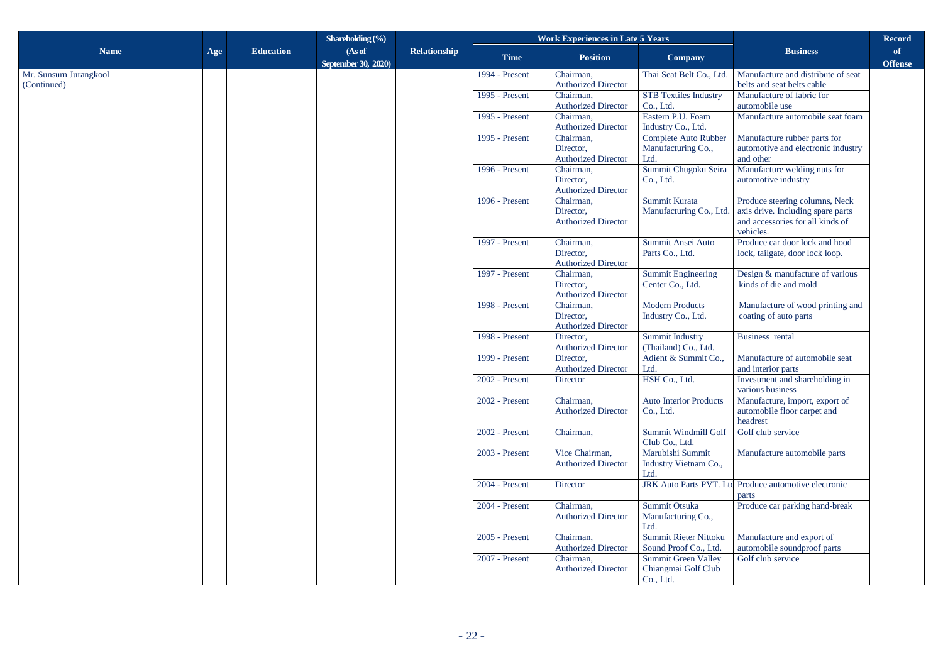|                                       |     |                  | Shareholding $(\% )$ |                     |                            | <b>Work Experiences in Late 5 Years</b> |                                                     |                                                                       | <b>Record</b>  |
|---------------------------------------|-----|------------------|----------------------|---------------------|----------------------------|-----------------------------------------|-----------------------------------------------------|-----------------------------------------------------------------------|----------------|
| <b>Name</b>                           | Age | <b>Education</b> | (As of               | <b>Relationship</b> | <b>Time</b>                | <b>Position</b>                         | Company                                             | <b>Business</b>                                                       | of             |
|                                       |     |                  | September 30, 2020)  |                     |                            |                                         |                                                     |                                                                       | <b>Offense</b> |
| Mr. Sunsurn Jurangkool<br>(Continued) |     |                  |                      |                     | 1994 - Present             | Chairman,<br><b>Authorized Director</b> | Thai Seat Belt Co., Ltd.                            | Manufacture and distribute of seat<br>belts and seat belts cable      |                |
|                                       |     |                  |                      |                     | 1995 - Present             | Chairman,                               | <b>STB Textiles Industry</b>                        | Manufacture of fabric for                                             |                |
|                                       |     |                  |                      |                     |                            | <b>Authorized Director</b>              | Co., Ltd.                                           | automobile use                                                        |                |
|                                       |     |                  |                      |                     | 1995 - Present             | Chairman,<br><b>Authorized Director</b> | Eastern P.U. Foam<br>Industry Co., Ltd.             | Manufacture automobile seat foam                                      |                |
|                                       |     |                  |                      |                     | 1995 - Present             | Chairman,                               | Complete Auto Rubber                                | Manufacture rubber parts for                                          |                |
|                                       |     |                  |                      |                     |                            | Director,                               | Manufacturing Co.,                                  | automotive and electronic industry                                    |                |
|                                       |     |                  |                      |                     |                            | <b>Authorized Director</b>              | Ltd.                                                | and other                                                             |                |
|                                       |     |                  |                      |                     | 1996 - Present             | Chairman,<br>Director,                  | Summit Chugoku Seira<br>Co., Ltd.                   | Manufacture welding nuts for<br>automotive industry                   |                |
|                                       |     |                  |                      |                     | <b>Authorized Director</b> |                                         |                                                     |                                                                       |                |
|                                       |     |                  |                      |                     | 1996 - Present             | Chairman.                               | Summit Kurata                                       | Produce steering columns, Neck                                        |                |
|                                       |     |                  |                      |                     |                            | Director,<br><b>Authorized Director</b> | Manufacturing Co., Ltd.                             | axis drive. Including spare parts<br>and accessories for all kinds of |                |
|                                       |     |                  |                      |                     |                            |                                         | vehicles.                                           |                                                                       |                |
|                                       |     |                  |                      |                     | 1997 - Present             | Chairman,                               | Summit Ansei Auto                                   | Produce car door lock and hood                                        |                |
|                                       |     |                  |                      |                     |                            | Director.<br><b>Authorized Director</b> | Parts Co., Ltd.                                     | lock, tailgate, door lock loop.                                       |                |
|                                       |     |                  |                      |                     | 1997 - Present             | Chairman,                               | <b>Summit Engineering</b>                           | Design & manufacture of various                                       |                |
|                                       |     |                  |                      |                     |                            | Director,                               | Center Co., Ltd.                                    | kinds of die and mold                                                 |                |
|                                       |     |                  |                      |                     | 1998 - Present             | <b>Authorized Director</b><br>Chairman. | <b>Modern Products</b>                              | Manufacture of wood printing and                                      |                |
|                                       |     |                  |                      |                     |                            | Director,                               | Industry Co., Ltd.                                  | coating of auto parts                                                 |                |
|                                       |     |                  |                      |                     |                            | <b>Authorized Director</b>              |                                                     |                                                                       |                |
|                                       |     |                  |                      |                     | 1998 - Present             | Director,<br><b>Authorized Director</b> | Summit Industry<br>(Thailand) Co., Ltd.             | Business rental                                                       |                |
|                                       |     |                  |                      |                     | 1999 - Present             | Director,                               | Adient & Summit Co.,                                | Manufacture of automobile seat                                        |                |
|                                       |     |                  |                      |                     |                            | <b>Authorized Director</b>              | Ltd.                                                | and interior parts                                                    |                |
|                                       |     |                  |                      |                     | 2002 - Present             | Director                                | HSH Co., Ltd.                                       | Investment and shareholding in<br>various business                    |                |
|                                       |     |                  |                      |                     | $2002$ - Present           | Chairman.                               | <b>Auto Interior Products</b>                       | Manufacture, import, export of                                        |                |
|                                       |     |                  |                      |                     |                            | <b>Authorized Director</b>              | Co., Ltd.                                           | automobile floor carpet and<br>headrest                               |                |
|                                       |     |                  |                      |                     | 2002 - Present             | Chairman,                               | Summit Windmill Golf<br>Club Co., Ltd.              | Golf club service                                                     |                |
|                                       |     |                  |                      |                     | 2003 - Present             | Vice Chairman,                          | Marubishi Summit                                    | Manufacture automobile parts                                          |                |
|                                       |     |                  |                      |                     |                            | <b>Authorized Director</b>              | Industry Vietnam Co.,<br>Ltd.                       |                                                                       |                |
|                                       |     |                  |                      |                     | 2004 - Present             | Director                                | <b>JRK Auto Parts PVT. Ltd</b>                      | Produce automotive electronic<br>parts                                |                |
|                                       |     |                  |                      |                     | 2004 - Present             | Chairman,                               | Summit Otsuka                                       | Produce car parking hand-break                                        |                |
|                                       |     |                  |                      |                     |                            | <b>Authorized Director</b>              | Manufacturing Co.,                                  |                                                                       |                |
|                                       |     |                  |                      |                     |                            |                                         | Ltd.                                                |                                                                       |                |
|                                       |     |                  |                      |                     | 2005 - Present             | Chairman,                               | <b>Summit Rieter Nittoku</b>                        | Manufacture and export of                                             |                |
|                                       |     |                  |                      |                     | 2007 - Present             | <b>Authorized Director</b><br>Chairman. | Sound Proof Co., Ltd.<br><b>Summit Green Valley</b> | automobile soundproof parts<br>Golf club service                      |                |
|                                       |     |                  |                      |                     |                            | <b>Authorized Director</b>              | Chiangmai Golf Club                                 |                                                                       |                |
|                                       |     |                  |                      |                     |                            |                                         | Co., Ltd.                                           |                                                                       |                |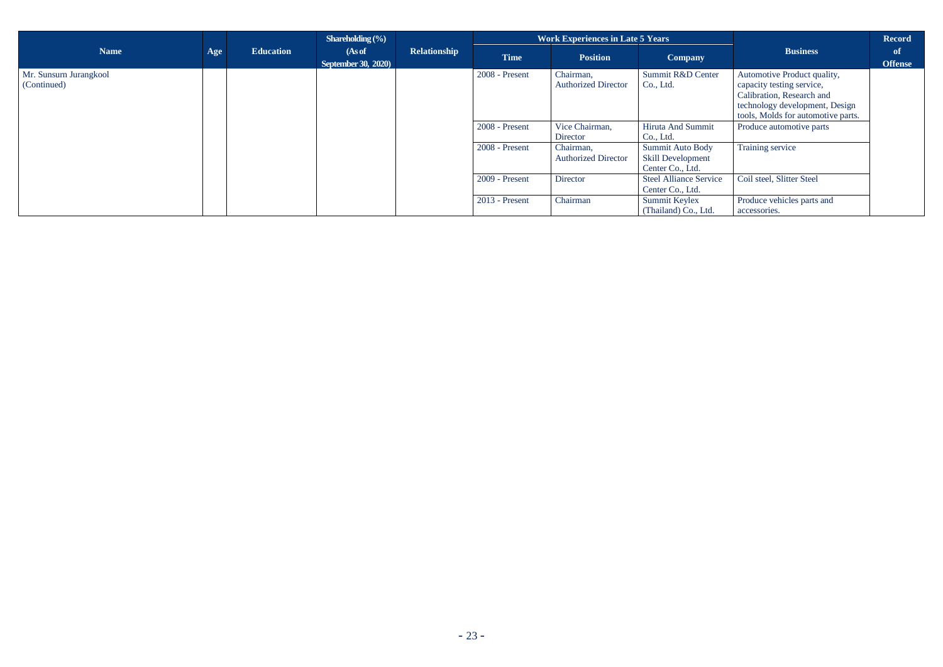|                                       |     |                  | Shareholding $(\% )$                 |              | <b>Work Experiences in Late 5 Years</b> |                                         | Record                                                           |                                                                                                                                                               |                      |
|---------------------------------------|-----|------------------|--------------------------------------|--------------|-----------------------------------------|-----------------------------------------|------------------------------------------------------------------|---------------------------------------------------------------------------------------------------------------------------------------------------------------|----------------------|
| <b>Name</b>                           | Age | <b>Education</b> | (As of<br><b>September 30, 2020)</b> | Relationship | <b>Time</b>                             | <b>Position</b>                         | Company                                                          | <b>Business</b>                                                                                                                                               | of<br><b>Offense</b> |
| Mr. Sunsurn Jurangkool<br>(Continued) |     |                  |                                      |              | 2008 - Present                          | Chairman,<br><b>Authorized Director</b> | Summit R&D Center<br>Co., Ltd.                                   | Automotive Product quality,<br>capacity testing service,<br>Calibration, Research and<br>technology development, Design<br>tools, Molds for automotive parts. |                      |
|                                       |     |                  |                                      |              | $2008$ - Present                        | Vice Chairman,<br>Director              | Hiruta And Summit<br>Co., Ltd.                                   | Produce automotive parts                                                                                                                                      |                      |
|                                       |     |                  |                                      |              | 2008 - Present                          | Chairman,<br><b>Authorized Director</b> | Summit Auto Body<br><b>Skill Development</b><br>Center Co., Ltd. | Training service                                                                                                                                              |                      |
|                                       |     |                  |                                      |              | $2009$ - Present                        | Director                                | <b>Steel Alliance Service</b><br>Center Co., Ltd.                | Coil steel, Slitter Steel                                                                                                                                     |                      |
|                                       |     |                  |                                      |              | $2013$ - Present                        | Chairman                                | Summit Keylex<br>(Thailand) Co., Ltd.                            | Produce vehicles parts and<br>accessories.                                                                                                                    |                      |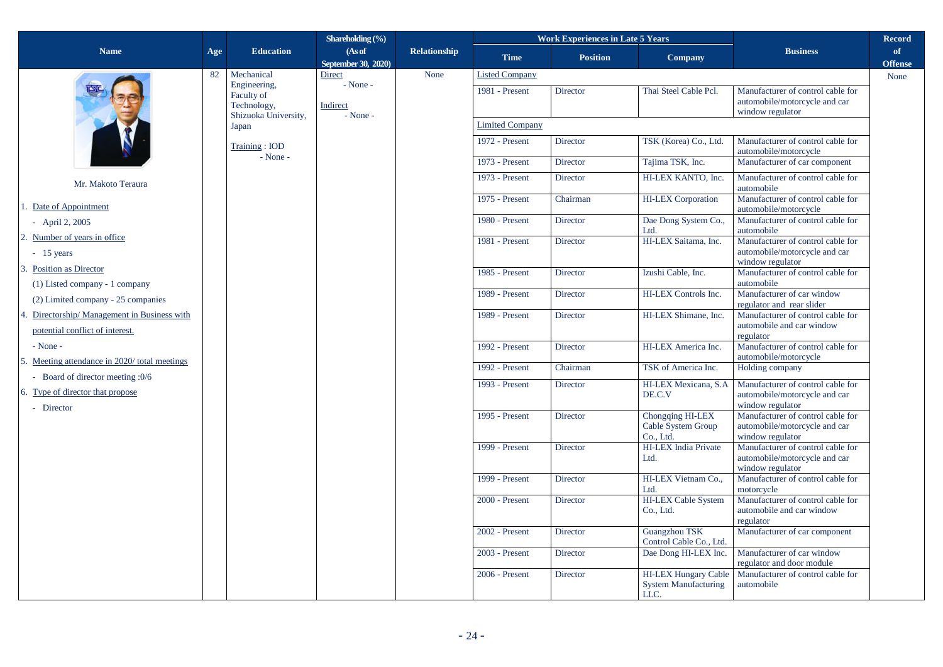|                                                                                 |     |                                                                   | Shareholding $(\% )$                 |                     |                        | <b>Work Experiences in Late 5 Years</b> |                                                                    |                                                                                        | <b>Record</b>        |
|---------------------------------------------------------------------------------|-----|-------------------------------------------------------------------|--------------------------------------|---------------------|------------------------|-----------------------------------------|--------------------------------------------------------------------|----------------------------------------------------------------------------------------|----------------------|
| <b>Name</b>                                                                     | Age | <b>Education</b>                                                  | (As of<br>September 30, 2020)        | <b>Relationship</b> | <b>Time</b>            | <b>Position</b>                         | Company                                                            | <b>Business</b>                                                                        | of<br><b>Offense</b> |
|                                                                                 | 82  | Mechanical                                                        | Direct                               | None                | <b>Listed Company</b>  |                                         |                                                                    |                                                                                        | None                 |
|                                                                                 |     | Engineering,<br>Faculty of<br>Technology,<br>Shizuoka University, | - None -<br>Indirect<br>$-$ None $-$ |                     | 1981 - Present         | Director                                | Thai Steel Cable Pcl.                                              | Manufacturer of control cable for<br>automobile/motorcycle and car<br>window regulator |                      |
|                                                                                 |     | Japan                                                             |                                      |                     | <b>Limited Company</b> |                                         |                                                                    |                                                                                        |                      |
|                                                                                 |     | Training: IOD                                                     |                                      |                     | 1972 - Present         | Director                                | TSK (Korea) Co., Ltd.                                              | Manufacturer of control cable for<br>automobile/motorcycle                             |                      |
|                                                                                 |     | $-$ None $-$                                                      |                                      |                     | 1973 - Present         | Director                                | Tajima TSK, Inc.                                                   | Manufacturer of car component                                                          |                      |
| Mr. Makoto Teraura                                                              |     |                                                                   |                                      |                     | 1973 - Present         | Director                                | HI-LEX KANTO, Inc.                                                 | Manufacturer of control cable for<br>automobile                                        |                      |
| 1. Date of Appointment                                                          |     |                                                                   |                                      |                     | 1975 - Present         | Chairman                                | <b>HI-LEX</b> Corporation                                          | Manufacturer of control cable for<br>automobile/motorcycle                             |                      |
| - April 2, $2005$                                                               |     |                                                                   |                                      |                     | 1980 - Present         | <b>Director</b>                         | Dae Dong System Co<br>Ltd.                                         | Manufacturer of control cable for<br>automobile                                        |                      |
| 2. Number of years in office<br>$-15$ years                                     |     |                                                                   |                                      |                     | 1981 - Present         | <b>Director</b>                         | HI-LEX Saitama, Inc.                                               | Manufacturer of control cable for<br>automobile/motorcycle and car<br>window regulator |                      |
| 3. Position as Director<br>$(1)$ Listed company - 1 company                     |     |                                                                   |                                      |                     | 1985 - Present         | Director                                | Izushi Cable, Inc.                                                 | Manufacturer of control cable for<br>automobile                                        |                      |
| (2) Limited company - 25 companies                                              |     |                                                                   |                                      |                     | 1989 - Present         | Director                                | HI-LEX Controls Inc.                                               | Manufacturer of car window<br>regulator and rear slider                                |                      |
| 4. Directorship/ Management in Business with<br>potential conflict of interest. |     |                                                                   |                                      |                     | 1989 - Present         | <b>Director</b>                         | HI-LEX Shimane, Inc.                                               | Manufacturer of control cable for<br>automobile and car window<br>regulator            |                      |
| $-None -$<br>5. Meeting attendance in 2020/total meetings                       |     |                                                                   |                                      |                     | 1992 - Present         | Director                                | HI-LEX America Inc.                                                | Manufacturer of control cable for<br>automobile/motorcycle                             |                      |
| - Board of director meeting :0/6                                                |     |                                                                   |                                      |                     | 1992 - Present         | Chairman                                | TSK of America Inc.                                                | Holding company                                                                        |                      |
| 6. Type of director that propose<br>- Director                                  |     |                                                                   |                                      |                     | 1993 - Present         | Director                                | HI-LEX Mexicana, S.A<br>DE.C.V                                     | Manufacturer of control cable for<br>automobile/motorcycle and car<br>window regulator |                      |
|                                                                                 |     |                                                                   |                                      |                     | 1995 - Present         | <b>Director</b>                         | Chongqing HI-LEX<br>Cable System Group<br>Co., Ltd.                | Manufacturer of control cable for<br>automobile/motorcycle and car<br>window regulator |                      |
|                                                                                 |     |                                                                   |                                      |                     | 1999 - Present         | Director                                | <b>HI-LEX</b> India Private<br>Ltd.                                | Manufacturer of control cable for<br>automobile/motorcycle and car<br>window regulator |                      |
|                                                                                 |     |                                                                   |                                      |                     | 1999 - Present         | <b>Director</b>                         | HI-LEX Vietnam Co<br>Ltd.                                          | Manufacturer of control cable for<br>motorcycle                                        |                      |
|                                                                                 |     |                                                                   |                                      |                     | 2000 - Present         | <b>Director</b>                         | <b>HI-LEX Cable System</b><br>Co., Ltd.                            | Manufacturer of control cable for<br>automobile and car window<br>regulator            |                      |
|                                                                                 |     |                                                                   |                                      |                     | 2002 - Present         | Director                                | Guangzhou TSK<br>Control Cable Co., Ltd.                           | Manufacturer of car component                                                          |                      |
|                                                                                 |     |                                                                   |                                      |                     | 2003 - Present         | Director                                | Dae Dong HI-LEX Inc.                                               | Manufacturer of car window<br>regulator and door module                                |                      |
|                                                                                 |     |                                                                   |                                      |                     | 2006 - Present         | <b>Director</b>                         | <b>HI-LEX Hungary Cable</b><br><b>System Manufacturing</b><br>LLC. | Manufacturer of control cable for<br>automobile                                        |                      |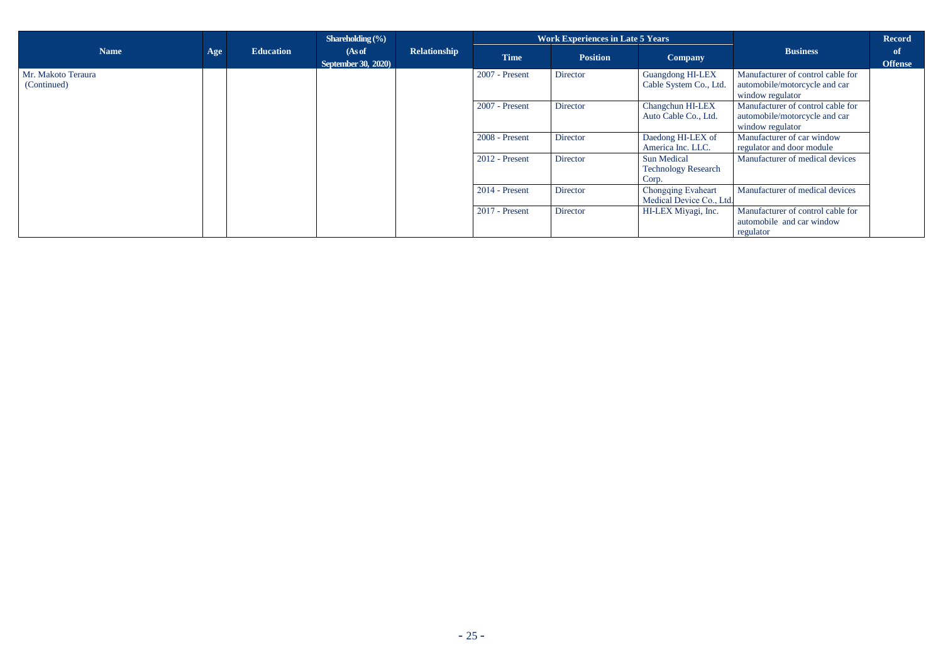|                                   |     |                  | Shareholding $(\% )$                 |                     |                  | <b>Work Experiences in Late 5 Years</b> |                                                           |                                                                                        | <b>Record</b>        |
|-----------------------------------|-----|------------------|--------------------------------------|---------------------|------------------|-----------------------------------------|-----------------------------------------------------------|----------------------------------------------------------------------------------------|----------------------|
| <b>Name</b>                       | Age | <b>Education</b> | (As of<br><b>September 30, 2020)</b> | <b>Relationship</b> | <b>Time</b>      | <b>Position</b>                         | <b>Company</b>                                            | <b>Business</b>                                                                        | of<br><b>Offense</b> |
| Mr. Makoto Teraura<br>(Continued) |     |                  |                                      |                     | 2007 - Present   | Director                                | <b>Guangdong HI-LEX</b><br>Cable System Co., Ltd.         | Manufacturer of control cable for<br>automobile/motorcycle and car<br>window regulator |                      |
|                                   |     |                  |                                      |                     | 2007 - Present   | Director                                | Changchun HI-LEX<br>Auto Cable Co., Ltd.                  | Manufacturer of control cable for<br>automobile/motorcycle and car<br>window regulator |                      |
|                                   |     |                  |                                      |                     | 2008 - Present   | Director                                | Daedong HI-LEX of<br>America Inc. LLC.                    | Manufacturer of car window<br>regulator and door module                                |                      |
|                                   |     |                  |                                      |                     | 2012 - Present   | Director                                | <b>Sun Medical</b><br><b>Technology Research</b><br>Corp. | Manufacturer of medical devices                                                        |                      |
|                                   |     |                  |                                      |                     | $2014$ - Present | Director                                | <b>Chongqing Evaheart</b><br>Medical Device Co., Ltd.     | Manufacturer of medical devices                                                        |                      |
|                                   |     |                  |                                      |                     | $2017$ - Present | Director                                | HI-LEX Miyagi, Inc.                                       | Manufacturer of control cable for<br>automobile and car window<br>regulator            |                      |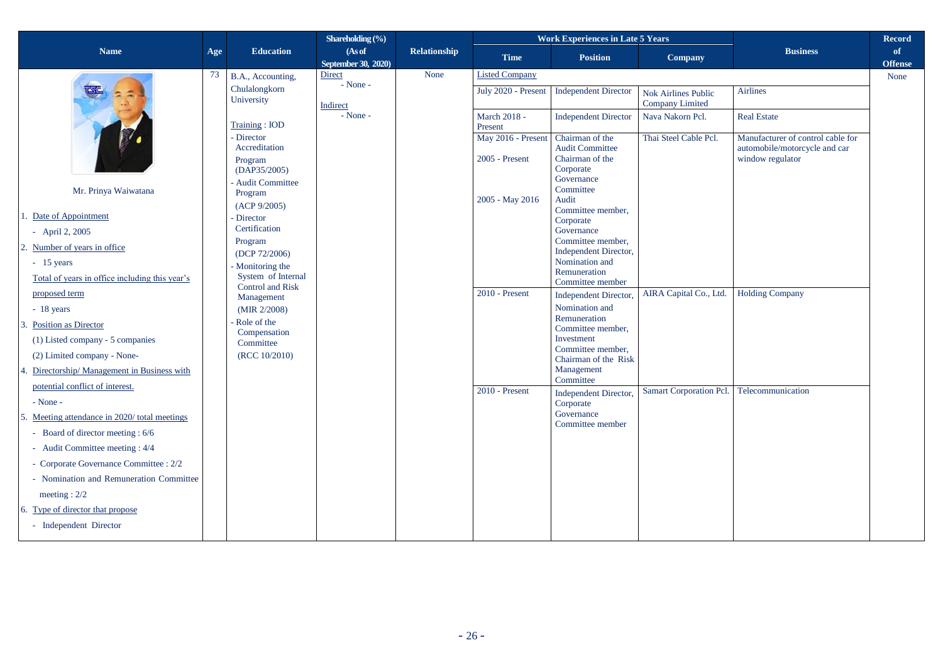|                                                                      |     |                                                  | Shareholding $(\frac{6}{6})$  |              |                         | <b>Work Experiences in Late 5 Years</b>    |                                               |                                                                    | <b>Record</b>        |
|----------------------------------------------------------------------|-----|--------------------------------------------------|-------------------------------|--------------|-------------------------|--------------------------------------------|-----------------------------------------------|--------------------------------------------------------------------|----------------------|
| <b>Name</b>                                                          | Age | <b>Education</b>                                 | (As of<br>September 30, 2020) | Relationship | <b>Time</b>             | <b>Position</b>                            | Company                                       | <b>Business</b>                                                    | of<br><b>Offense</b> |
|                                                                      | 73  | B.A., Accounting,                                | Direct                        | None         | <b>Listed Company</b>   |                                            |                                               |                                                                    | None                 |
|                                                                      |     | Chulalongkorn<br>University                      | $-$ None $-$<br>Indirect      |              | July 2020 - Present     | <b>Independent Director</b>                | Nok Airlines Public<br><b>Company Limited</b> | <b>Airlines</b>                                                    |                      |
|                                                                      |     | Training: IOD                                    | $-$ None $-$                  |              | March 2018 -<br>Present | <b>Independent Director</b>                | Nava Nakorn Pcl.                              | <b>Real Estate</b>                                                 |                      |
|                                                                      |     | - Director<br>Accreditation                      |                               |              | May 2016 - Present      | Chairman of the<br><b>Audit Committee</b>  | Thai Steel Cable Pcl.                         | Manufacturer of control cable for<br>automobile/motorcycle and car |                      |
|                                                                      |     | Program<br>(DAP35/2005)                          |                               |              | 2005 - Present          | Chairman of the<br>Corporate<br>Governance |                                               | window regulator                                                   |                      |
| Mr. Prinya Waiwatana                                                 |     | Audit Committee<br>Program                       |                               |              | 2005 - May 2016         | Committee<br>Audit                         |                                               |                                                                    |                      |
| 1. Date of Appointment                                               |     | (ACP 9/2005)<br><b>Director</b><br>Certification |                               |              |                         | Committee member.<br>Corporate             |                                               |                                                                    |                      |
| - April 2, $2005$                                                    |     | Program                                          |                               |              |                         | Governance<br>Committee member,            |                                               |                                                                    |                      |
| 2. Number of years in office<br>$-15$ years                          |     | (DCP 72/2006)                                    |                               |              |                         | Independent Director,<br>Nomination and    |                                               |                                                                    |                      |
| Total of years in office including this year's                       |     | Monitoring the<br>System of Internal             |                               |              |                         | Remuneration                               |                                               |                                                                    |                      |
| proposed term                                                        |     | <b>Control and Risk</b><br>Management            |                               |              | 2010 - Present          | Committee member<br>Independent Director,  | AIRA Capital Co., Ltd.                        | <b>Holding Company</b>                                             |                      |
| $-18$ years                                                          |     | (MIR 2/2008)                                     |                               |              |                         | Nomination and                             |                                               |                                                                    |                      |
| 3. Position as Director                                              |     | Role of the                                      |                               |              |                         | Remuneration<br>Committee member,          |                                               |                                                                    |                      |
| (1) Listed company - 5 companies                                     |     | Compensation<br>Committee                        |                               |              |                         | Investment                                 |                                               |                                                                    |                      |
| (2) Limited company - None-                                          |     | (RCC 10/2010)                                    |                               |              |                         | Committee member.<br>Chairman of the Risk  |                                               |                                                                    |                      |
| 4. Directorship/ Management in Business with                         |     |                                                  |                               |              |                         | Management<br>Committee                    |                                               |                                                                    |                      |
| potential conflict of interest.                                      |     |                                                  |                               |              | 2010 - Present          | <b>Independent Director,</b>               | Samart Corporation Pcl.                       | Telecommunication                                                  |                      |
| $-$ None $-$                                                         |     |                                                  |                               |              |                         | Corporate<br>Governance                    |                                               |                                                                    |                      |
| 5. Meeting attendance in 2020/total meetings                         |     |                                                  |                               |              |                         | Committee member                           |                                               |                                                                    |                      |
| - Board of director meeting : 6/6<br>- Audit Committee meeting : 4/4 |     |                                                  |                               |              |                         |                                            |                                               |                                                                    |                      |
| - Corporate Governance Committee : 2/2                               |     |                                                  |                               |              |                         |                                            |                                               |                                                                    |                      |
| - Nomination and Remuneration Committee                              |     |                                                  |                               |              |                         |                                            |                                               |                                                                    |                      |
| meeting : $2/2$                                                      |     |                                                  |                               |              |                         |                                            |                                               |                                                                    |                      |
| 6. Type of director that propose                                     |     |                                                  |                               |              |                         |                                            |                                               |                                                                    |                      |
| - Independent Director                                               |     |                                                  |                               |              |                         |                                            |                                               |                                                                    |                      |
|                                                                      |     |                                                  |                               |              |                         |                                            |                                               |                                                                    |                      |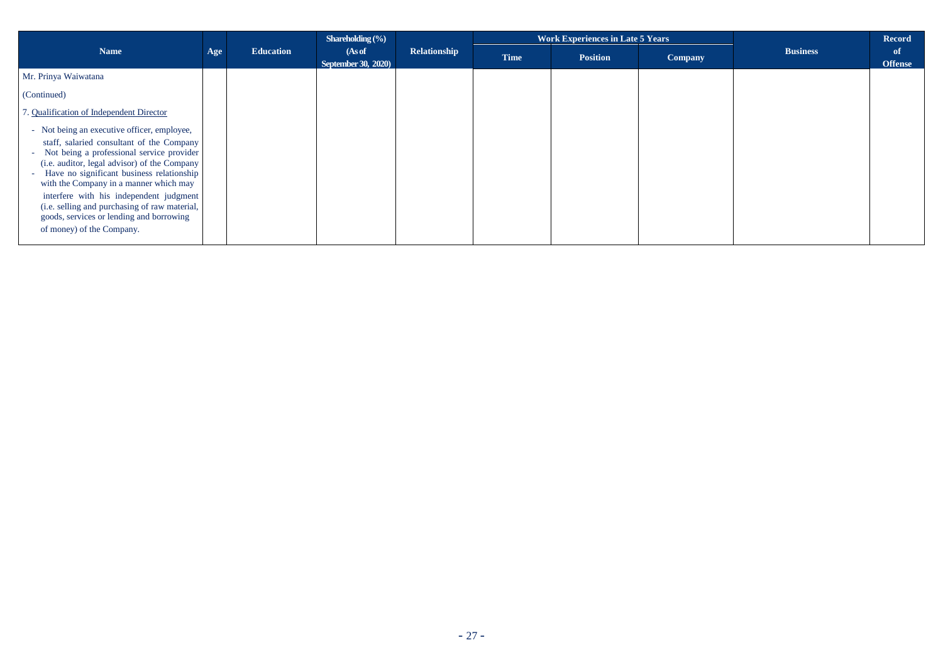|                                                                                                                                                                                                                                                                                                                                                                                                                                                     |     |                  | Shareholding $(\frac{6}{6})$         |              |             | <b>Work Experiences in Late 5 Years</b> |                | <b>Record</b>   |                      |
|-----------------------------------------------------------------------------------------------------------------------------------------------------------------------------------------------------------------------------------------------------------------------------------------------------------------------------------------------------------------------------------------------------------------------------------------------------|-----|------------------|--------------------------------------|--------------|-------------|-----------------------------------------|----------------|-----------------|----------------------|
| <b>Name</b>                                                                                                                                                                                                                                                                                                                                                                                                                                         | Age | <b>Education</b> | (As of<br><b>September 30, 2020)</b> | Relationship | <b>Time</b> | <b>Position</b>                         | <b>Company</b> | <b>Business</b> | of<br><b>Offense</b> |
| Mr. Prinya Waiwatana                                                                                                                                                                                                                                                                                                                                                                                                                                |     |                  |                                      |              |             |                                         |                |                 |                      |
| (Continued)                                                                                                                                                                                                                                                                                                                                                                                                                                         |     |                  |                                      |              |             |                                         |                |                 |                      |
| 7. Qualification of Independent Director                                                                                                                                                                                                                                                                                                                                                                                                            |     |                  |                                      |              |             |                                         |                |                 |                      |
| - Not being an executive officer, employee,<br>staff, salaried consultant of the Company<br>- Not being a professional service provider<br>(i.e. auditor, legal advisor) of the Company<br>Have no significant business relationship<br>with the Company in a manner which may<br>interfere with his independent judgment<br>(i.e. selling and purchasing of raw material,<br>goods, services or lending and borrowing<br>of money) of the Company. |     |                  |                                      |              |             |                                         |                |                 |                      |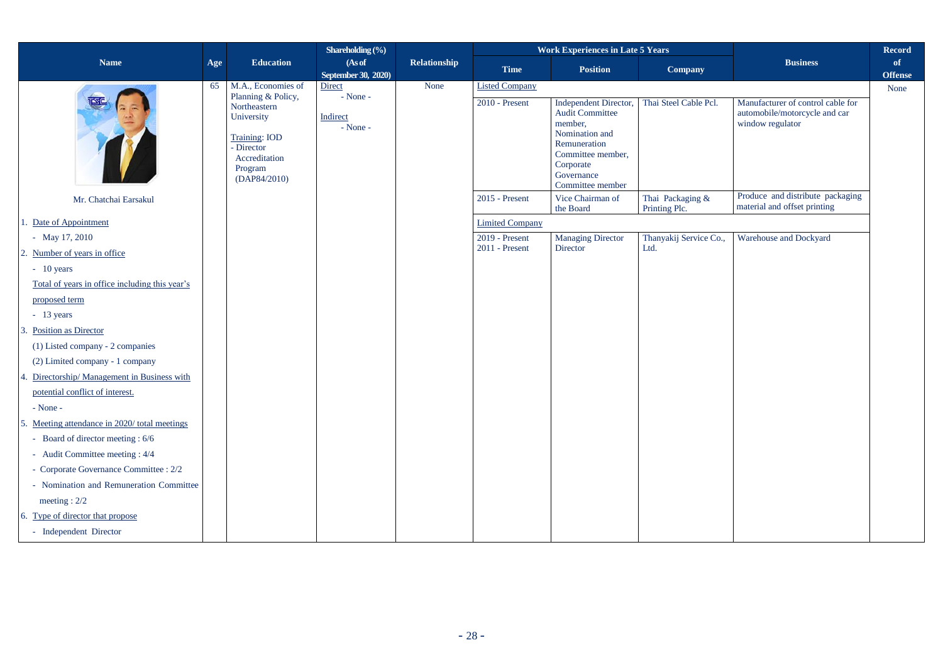|                                                |     |                                                                                                                                    | Shareholding $\overline{(}\%)$       |                     |                        | <b>Work Experiences in Late 5 Years</b>                                                                                                                          |                                   |                                                                                        | <b>Record</b>          |
|------------------------------------------------|-----|------------------------------------------------------------------------------------------------------------------------------------|--------------------------------------|---------------------|------------------------|------------------------------------------------------------------------------------------------------------------------------------------------------------------|-----------------------------------|----------------------------------------------------------------------------------------|------------------------|
| <b>Name</b>                                    | Age | <b>Education</b>                                                                                                                   | (As of                               | <b>Relationship</b> | <b>Time</b>            | <b>Position</b>                                                                                                                                                  | Company                           | <b>Business</b>                                                                        | of                     |
|                                                | 65  | M.A., Economies of                                                                                                                 | September 30, 2020)<br>Direct        | None                | <b>Listed Company</b>  |                                                                                                                                                                  |                                   |                                                                                        | <b>Offense</b><br>None |
|                                                |     | Planning & Policy,<br>Northeastern<br>University<br><b>Training: IOD</b><br>- Director<br>Accreditation<br>Program<br>(DAP84/2010) | $-$ None $-$<br>Indirect<br>- None - |                     | 2010 - Present         | Independent Director,<br><b>Audit Committee</b><br>member,<br>Nomination and<br>Remuneration<br>Committee member,<br>Corporate<br>Governance<br>Committee member | Thai Steel Cable Pcl.             | Manufacturer of control cable for<br>automobile/motorcycle and car<br>window regulator |                        |
| Mr. Chatchai Earsakul                          |     |                                                                                                                                    |                                      |                     | 2015 - Present         | Vice Chairman of<br>the Board                                                                                                                                    | Thai Packaging &<br>Printing Plc. | Produce and distribute packaging<br>material and offset printing                       |                        |
| 1. Date of Appointment                         |     |                                                                                                                                    |                                      |                     | <b>Limited Company</b> |                                                                                                                                                                  |                                   |                                                                                        |                        |
| - May $17, 2010$                               |     |                                                                                                                                    |                                      |                     | 2019 - Present         | <b>Managing Director</b>                                                                                                                                         | Thanyakij Service Co.,            | Warehouse and Dockyard                                                                 |                        |
| 2. Number of years in office                   |     |                                                                                                                                    |                                      |                     | 2011 - Present         | Director                                                                                                                                                         | Ltd.                              |                                                                                        |                        |
| $-10$ years                                    |     |                                                                                                                                    |                                      |                     |                        |                                                                                                                                                                  |                                   |                                                                                        |                        |
| Total of years in office including this year's |     |                                                                                                                                    |                                      |                     |                        |                                                                                                                                                                  |                                   |                                                                                        |                        |
| proposed term                                  |     |                                                                                                                                    |                                      |                     |                        |                                                                                                                                                                  |                                   |                                                                                        |                        |
| $-13$ years                                    |     |                                                                                                                                    |                                      |                     |                        |                                                                                                                                                                  |                                   |                                                                                        |                        |
| 3. Position as Director                        |     |                                                                                                                                    |                                      |                     |                        |                                                                                                                                                                  |                                   |                                                                                        |                        |
| (1) Listed company - 2 companies               |     |                                                                                                                                    |                                      |                     |                        |                                                                                                                                                                  |                                   |                                                                                        |                        |
| (2) Limited company - 1 company                |     |                                                                                                                                    |                                      |                     |                        |                                                                                                                                                                  |                                   |                                                                                        |                        |
| 4. Directorship/ Management in Business with   |     |                                                                                                                                    |                                      |                     |                        |                                                                                                                                                                  |                                   |                                                                                        |                        |
| potential conflict of interest.                |     |                                                                                                                                    |                                      |                     |                        |                                                                                                                                                                  |                                   |                                                                                        |                        |
| $-$ None $-$                                   |     |                                                                                                                                    |                                      |                     |                        |                                                                                                                                                                  |                                   |                                                                                        |                        |
| 5. Meeting attendance in 2020/total meetings   |     |                                                                                                                                    |                                      |                     |                        |                                                                                                                                                                  |                                   |                                                                                        |                        |
| - Board of director meeting : 6/6              |     |                                                                                                                                    |                                      |                     |                        |                                                                                                                                                                  |                                   |                                                                                        |                        |
| - Audit Committee meeting : 4/4                |     |                                                                                                                                    |                                      |                     |                        |                                                                                                                                                                  |                                   |                                                                                        |                        |
| - Corporate Governance Committee : 2/2         |     |                                                                                                                                    |                                      |                     |                        |                                                                                                                                                                  |                                   |                                                                                        |                        |
| - Nomination and Remuneration Committee        |     |                                                                                                                                    |                                      |                     |                        |                                                                                                                                                                  |                                   |                                                                                        |                        |
| meeting : $2/2$                                |     |                                                                                                                                    |                                      |                     |                        |                                                                                                                                                                  |                                   |                                                                                        |                        |
| 6. Type of director that propose               |     |                                                                                                                                    |                                      |                     |                        |                                                                                                                                                                  |                                   |                                                                                        |                        |
| - Independent Director                         |     |                                                                                                                                    |                                      |                     |                        |                                                                                                                                                                  |                                   |                                                                                        |                        |